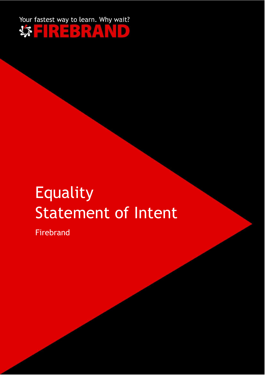

# Equality Statement of Intent

Firebrand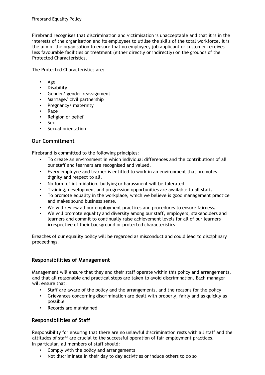Firebrand recognises that discrimination and victimisation is unacceptable and that it is in the interests of the organisation and its employees to utilise the skills of the total workforce. It is the aim of the organisation to ensure that no employee, job applicant or customer receives less favourable facilities or treatment (either directly or indirectly) on the grounds of the Protected Characteristics.

The Protected Characteristics are:

- Age
- Disability
- Gender/ gender reassignment
- Marriage/ civil partnership
- Pregnancy/ maternity
- Race
- Religion or belief
- Sex
- Sexual orientation

## **Our Commitment**

Firebrand is committed to the following principles:

- To create an environment in which individual differences and the contributions of all our staff and learners are recognised and valued.
- Every employee and learner is entitled to work in an environment that promotes dignity and respect to all.
- No form of intimidation, bullying or harassment will be tolerated.
- Training, development and progression opportunities are available to all staff.
- To promote equality in the workplace, which we believe is good management practice and makes sound business sense.
- We will review all our employment practices and procedures to ensure fairness.
- We will promote equality and diversity among our staff, employers, stakeholders and learners and commit to continually raise achievement levels for all of our learners irrespective of their background or protected characteristics.

Breaches of our equality policy will be regarded as misconduct and could lead to disciplinary proceedings.

### **Responsibilities of Management**

Management will ensure that they and their staff operate within this policy and arrangements, and that all reasonable and practical steps are taken to avoid discrimination. Each manager will ensure that:

- Staff are aware of the policy and the arrangements, and the reasons for the policy
- Grievances concerning discrimination are dealt with properly, fairly and as quickly as possible
- Records are maintained

### **Responsibilities of Staff**

Responsibility for ensuring that there are no unlawful discrimination rests with all staff and the attitudes of staff are crucial to the successful operation of fair employment practices. In particular, all members of staff should:

- Comply with the policy and arrangements
- Not discriminate in their day to day activities or induce others to do so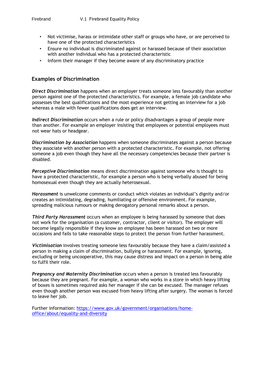- Not victimise, harass or intimidate other staff or groups who have, or are perceived to have one of the protected characteristics
- Ensure no individual is discriminated against or harassed because of their association with another individual who has a protected characteristic
- Inform their manager if they become aware of any discriminatory practice

#### **Examples of Discrimination**

*Direct Discrimination* happens when an employer treats someone less favourably than another person against one of the protected characteristics. For example, a female job candidate who possesses the best qualifications and the most experience not getting an interview for a job whereas a male with fewer qualifications does get an interview.

*Indirect Discrimination* occurs when a rule or policy disadvantages a group of people more than another. For example an employer insisting that employees or potential employees must not wear hats or headgear.

*Discrimination by Association* happens when someone discriminates against a person because they associate with another person with a protected characteristic. For example, not offering someone a job even though they have all the necessary competencies because their partner is disabled.

*Perceptive Discrimination* means direct discrimination against someone who is thought to have a protected characteristic, for example a person who is being verbally abused for being homosexual even though they are actually heterosexual.

*Harassment* is unwelcome comments or conduct which violates an individual's dignity and/or creates an intimidating, degrading, humiliating or offensive environment. For example, spreading malicious rumours or making derogatory personal remarks about a person.

*Third Party Harassment* occurs when an employee is being harassed by someone that does not work for the organisation (a customer, contractor, client or visitor). The employer will become legally responsible if they know an employee has been harassed on two or more occasions and fails to take reasonable steps to protect the person from further harassment.

*Victimisation* involves treating someone less favourably because they have a claim/assisted a person in making a claim of discrimination, bullying or harassment. For example, ignoring, excluding or being uncooperative, this may cause distress and impact on a person in being able to fulfil their role.

*Pregnancy and Maternity Discrimination* occurs when a person is treated less favourably because they are pregnant. For example, a woman who works in a store in which heavy lifting of boxes is sometimes required asks her manager if she can be excused. The manager refuses even though another person was excused from heavy lifting after surgery. The woman is forced to leave her job.

Further information: [https://www.gov.uk/government/organisations/home](https://www.gov.uk/government/organisations/home-office/about/equality-and-diversity)[office/about/equality-and-diversity](https://www.gov.uk/government/organisations/home-office/about/equality-and-diversity)